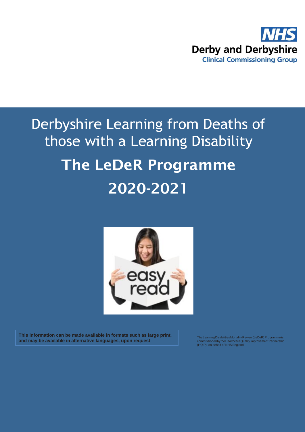

## Derbyshire Learning from Deaths of those with a Learning Disability The LeDeR Programme 2020-2021



**This information can be made available in formats such as large print, and may be available in alternative languages, upon request**

The Learning Disabilities Mortality Review (LeDeR) Programme is<br>commissioned by the Healthcare Quality Improvement Partnership<br>(HQIP), on behalf of NHS England.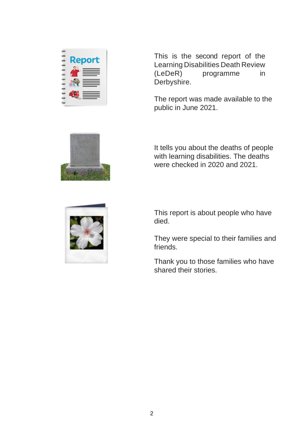

This is the second report of the Learning Disabilities Death Review (LeDeR) programme in Derbyshire.

The report was made available to the public in June 2021.



It tells you about the deaths of people with learning disabilities. The deaths were checked in 2020 and 2021.



This report is about people who have died.

They were special to their families and friends.

Thank you to those families who have shared their stories.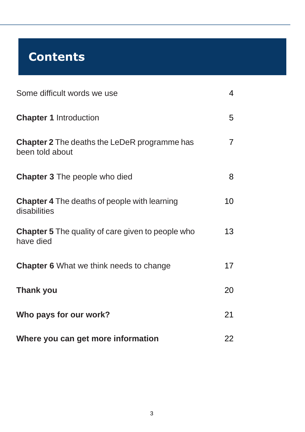## **Contents**

| Some difficult words we use                                            | $\overline{4}$ |
|------------------------------------------------------------------------|----------------|
| <b>Chapter 1 Introduction</b>                                          | 5              |
| <b>Chapter 2</b> The deaths the LeDeR programme has<br>been told about | $\overline{7}$ |
| <b>Chapter 3</b> The people who died                                   | 8              |
| <b>Chapter 4</b> The deaths of people with learning<br>disabilities    | 10             |
| <b>Chapter 5</b> The quality of care given to people who<br>have died  | 13             |
| <b>Chapter 6</b> What we think needs to change                         | 17             |
| <b>Thank you</b>                                                       | 20             |
| Who pays for our work?                                                 | 21             |
| Where you can get more information                                     | 22             |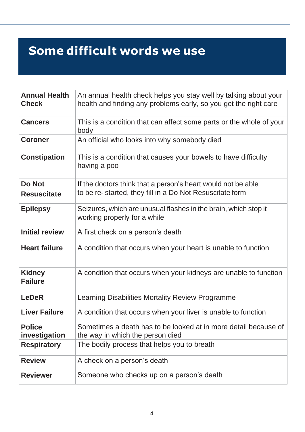## **Some difficult words we use**

| <b>Annual Health</b><br><b>Check</b> | An annual health check helps you stay well by talking about your<br>health and finding any problems early, so you get the right care |
|--------------------------------------|--------------------------------------------------------------------------------------------------------------------------------------|
| <b>Cancers</b>                       | This is a condition that can affect some parts or the whole of your<br>body                                                          |
| <b>Coroner</b>                       | An official who looks into why somebody died                                                                                         |
| <b>Constipation</b>                  | This is a condition that causes your bowels to have difficulty<br>having a poo                                                       |
| <b>Do Not</b><br><b>Resuscitate</b>  | If the doctors think that a person's heart would not be able<br>to be re-started, they fill in a Do Not Resuscitate form             |
| <b>Epilepsy</b>                      | Seizures, which are unusual flashes in the brain, which stop it<br>working properly for a while                                      |
| <b>Initial review</b>                | A first check on a person's death                                                                                                    |
| <b>Heart failure</b>                 | A condition that occurs when your heart is unable to function                                                                        |
| <b>Kidney</b><br><b>Failure</b>      | A condition that occurs when your kidneys are unable to function                                                                     |
| <b>LeDeR</b>                         | Learning Disabilities Mortality Review Programme                                                                                     |
| <b>Liver Failure</b>                 | A condition that occurs when your liver is unable to function                                                                        |
| <b>Police</b><br>investigation       | Sometimes a death has to be looked at in more detail because of<br>the way in which the person died                                  |
| <b>Respiratory</b>                   | The bodily process that helps you to breath                                                                                          |
| <b>Review</b>                        | A check on a person's death                                                                                                          |
| <b>Reviewer</b>                      | Someone who checks up on a person's death                                                                                            |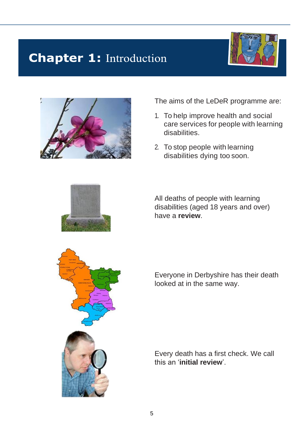## **Chapter 1: Introduction**





The aims of the LeDeR programme are:

- 1. To help improve health and social care services for people with learning disabilities.
- 2. To stop people with learning disabilities dying too soon.

All deaths of people with learning disabilities (aged 18 years and over) have a **review**.

Everyone in Derbyshire has their death looked at in the same way.



Every death has a first check. We call this an '**initial review**'.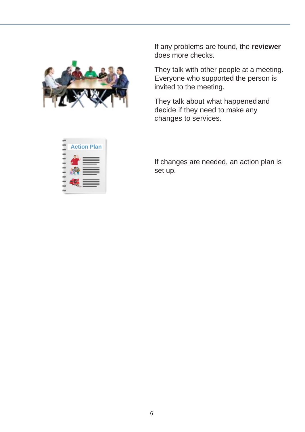

If any problems are found, the **reviewer** does more checks.

They talk with other people at a meeting. Everyone who supported the person is invited to the meeting.

They talk about what happenedand decide if they need to make any changes to services.

 **Action Plan** 

If changes are needed, an action plan is set up.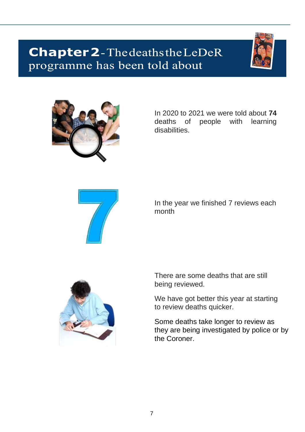## **Chapter 2**-The deaths the LeDeR programme has been told about





In 2020 to 2021 we were told about **74**  deaths of people with learning disabilities.



In the year we finished 7 reviews each month



There are some deaths that are still being reviewed.

We have got better this year at starting to review deaths quicker.

Some deaths take longer to review as they are being investigated by police or by the Coroner.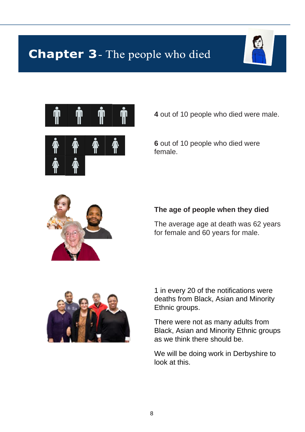## **Chapter 3**- The people who died







**4** out of 10 people who died were male.

**6** out of 10 people who died were female.



#### **The age of people when they died**

The average age at death was 62 years for female and 60 years for male.



1 in every 20 of the notifications were deaths from Black, Asian and Minority Ethnic groups.

There were not as many adults from Black, Asian and Minority Ethnic groups as we think there should be.

We will be doing work in Derbyshire to look at this.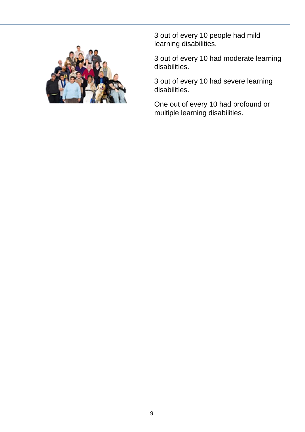

3 out of every 10 people had mild learning disabilities.

3 out of every 10 had moderate learning disabilities.

3 out of every 10 had severe learning disabilities.

One out of every 10 had profound or multiple learning disabilities.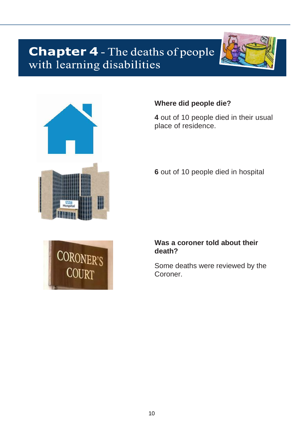# **Chapter 4** - The deaths of people<br>with learning disabilities





#### **Where did people die?**

**4** out of 10 people died in their usual place of residence.

**6** out of 10 people died in hospital



#### **Was a coroner told about their death?**

Some deaths were reviewed by the Coroner.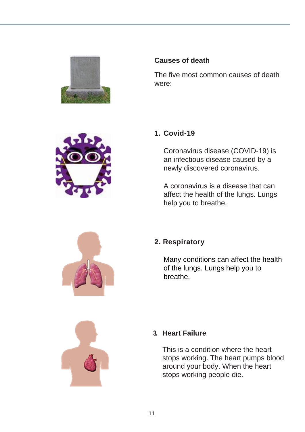

#### **Causes of death**

The five most common causes of death were:



#### **1. Covid-19**

Coronavirus disease (COVID-19) is an infectious disease caused by a newly discovered coronavirus.

A coronavirus is a disease that can affect the health of the lungs. Lungs help you to breathe.



#### **2. Respiratory**

Many conditions can affect the health of the lungs. Lungs help you to breathe.



#### **3. Heart Failure**

This is a condition where the heart stops working. The heart pumps blood around your body. When the heart stops working people die.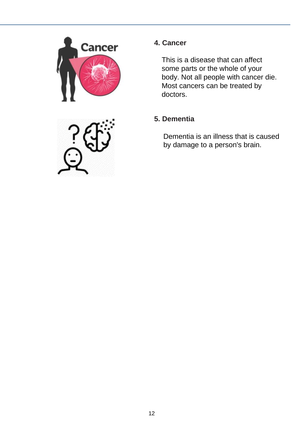

#### **4. Cancer**

This is a disease that can affect some parts or the whole of your body. Not all people with cancer die. Most cancers can be treated by doctors.

#### **5. Dementia**

Dementia is an illness that is caused by damage to a person's brain.

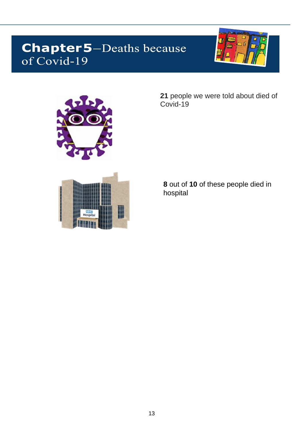## **Chapter5-Deaths because** of Covid-19





**21** people we were told about died of Covid-19

**8** out of **10** of these people died in hospital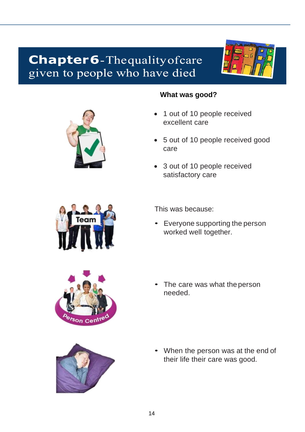### **Chapter6**-Thequality of care given to people who have died





#### **What was good?**

- 1 out of 10 people received excellent care
- 5 out of 10 people received good care
- 3 out of 10 people received satisfactory care



This was because:

• Everyone supporting the person worked well together.



The care was what the person needed.



• When the person was at the end of their life their care was good.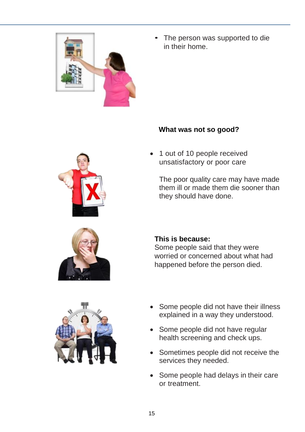

The person was supported to die in their home.

#### **What was not so good?**

1 out of 10 people received unsatisfactory or poor care

The poor quality care may have made them ill or made them die sooner than they should have done.



#### **This is because:**

Some people said that they were worried or concerned about what had happened before the person died.



- Some people did not have their illness explained in a way they understood.
- Some people did not have regular health screening and check ups.
- Sometimes people did not receive the services they needed.
- Some people had delays in their care or treatment.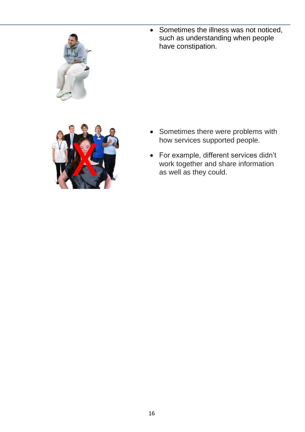

• Sometimes the illness was not noticed, such as understanding when people have constipation.



- Sometimes there were problems with how services supported people.
- For example, different services didn't work together and share information as well as they could.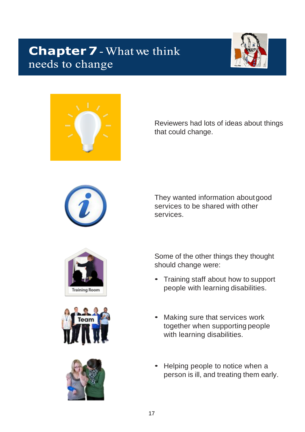## **Chapter 7** - What we think needs to change





Reviewers had lots of ideas about things that could change.



They wanted information aboutgood services to be shared with other services.







Some of the other things they thought should change were:

- Training staff about how to support people with learning disabilities.
- Making sure that services work together when supporting people with learning disabilities.
- Helping people to notice when a person is ill, and treating them early.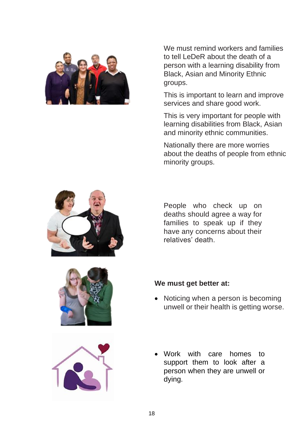

We must remind workers and families to tell LeDeR about the death of a person with a learning disability from Black, Asian and Minority Ethnic groups.

This is important to learn and improve services and share good work.

This is very important for people with learning disabilities from Black, Asian and minority ethnic communities.

Nationally there are more worries about the deaths of people from ethnic minority groups.



People who check up on deaths should agree a way for families to speak up if they have any concerns about their relatives' death.





#### **We must get better at:**

- Noticing when a person is becoming unwell or their health is getting worse.
- Work with care homes to support them to look after a person when they are unwell or dying.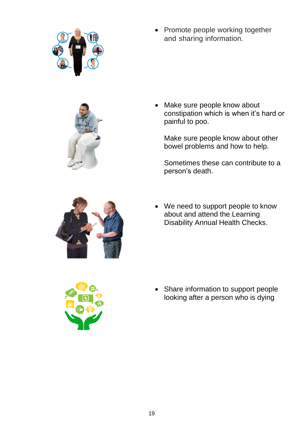



Make sure people know about constipation which is when it's hard or painful to poo.

Make sure people know about other bowel problems and how to help.

Sometimes these can contribute to a person's death.



• We need to support people to know about and attend the Learning Disability Annual Health Checks.



• Share information to support people looking after a person who is dying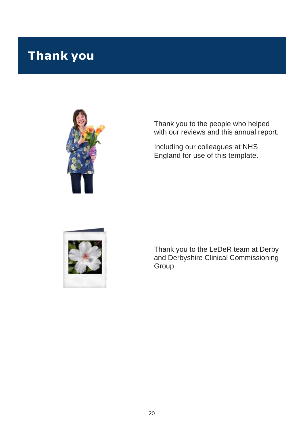## **Thank you**



Thank you to the people who helped with our reviews and this annual report.

Including our colleagues at NHS England for use of this template.



Thank you to the LeDeR team at Derby and Derbyshire Clinical Commissioning Group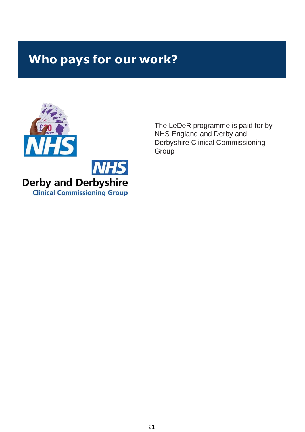## **Who pays for our work?**



The LeDeR programme is paid for by NHS England and Derby and Derbyshire Clinical Commissioning **Group**